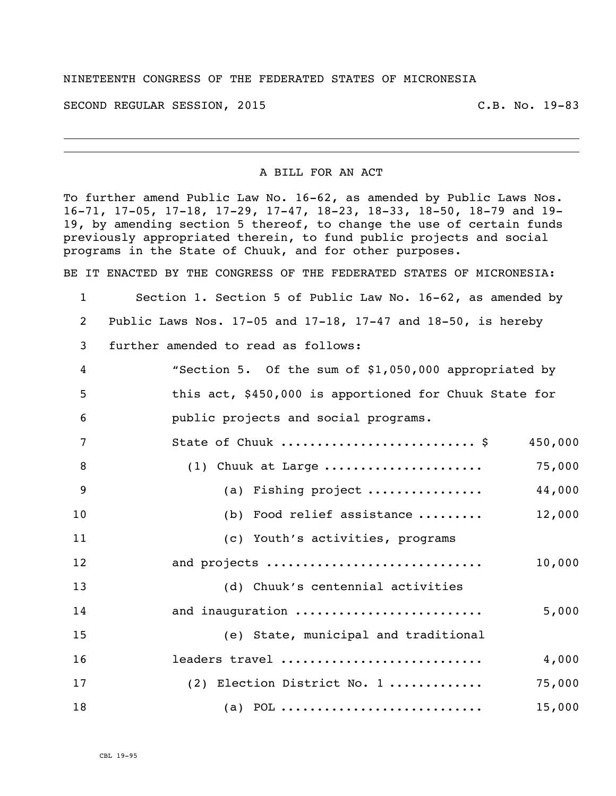## NINETEENTH CONGRESS OF THE FEDERATED STATES OF MICRONESIA

SECOND REGULAR SESSION, 2015 C.B. No. 19-83

## A BILL FOR AN ACT

To further amend Public Law No. 16-62, as amended by Public Laws Nos. 16-71, 17-05, 17-18, 17-29, 17-47, 18-23, 18-33, 18-50, 18-79 and 19- 19, by amending section 5 thereof, to change the use of certain funds previously appropriated therein, to fund public projects and social programs in the State of Chuuk, and for other purposes.

BE IT ENACTED BY THE CONGRESS OF THE FEDERATED STATES OF MICRONESIA:

 Section 1. Section 5 of Public Law No. 16-62, as amended by Public Laws Nos. 17-05 and 17-18, 17-47 and 18-50, is hereby further amended to read as follows: "Section 5. Of the sum of \$1,050,000 appropriated by this act, \$450,000 is apportioned for Chuuk State for public projects and social programs. 7 State of Chuuk ...............................\$ 450,000 (1) Chuuk at Large ...................... 75,000 (a) Fishing project ................ 44,000 10 (b) Food relief assistance ......... 12,000 (c) Youth's activities, programs and projects .............................. 10,000 (d) Chuuk's centennial activities and inauguration .......................... 5,000 (e) State, municipal and traditional leaders travel ............................ 4,000 17 (2) Election District No. 1 .............. 75,000 (a) POL ............................ 15,000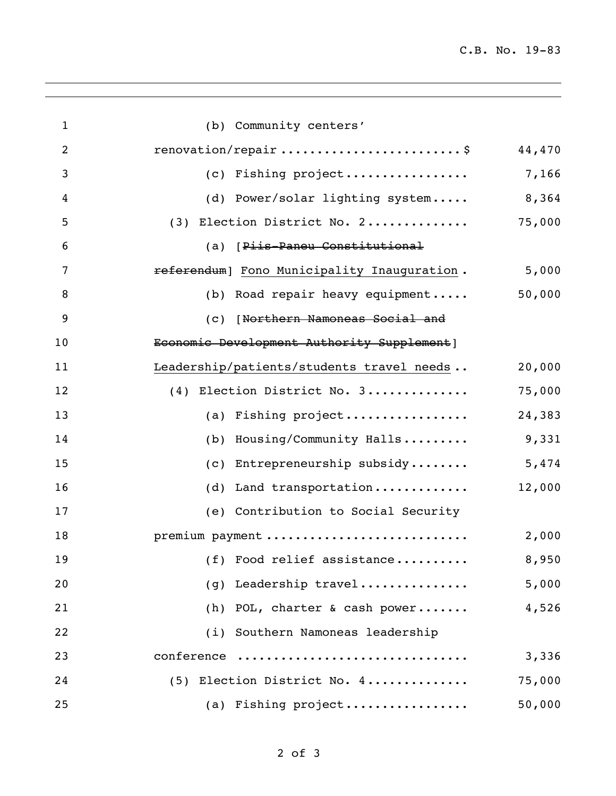| $\mathbf{1}$   | (b) Community centers'                      |        |
|----------------|---------------------------------------------|--------|
| $\overline{2}$ | renovation/repair \$                        | 44,470 |
| 3              | (c) Fishing project                         | 7,166  |
| 4              | (d) Power/solar lighting system             | 8,364  |
| 5              | (3) Election District No. 2                 | 75,000 |
| 6              | (a) [Piis-Paneu Constitutional              |        |
| 7              | referendum] Fono Municipality Inauguration. | 5,000  |
| 8              | (b) Road repair heavy equipment             | 50,000 |
| 9              | (c) [Northern Namoneas Social and           |        |
| 10             | Economic Development Authority Supplement]  |        |
| 11             | Leadership/patients/students travel needs   | 20,000 |
| 12             | (4) Election District No. 3                 | 75,000 |
| 13             | (a) Fishing project                         | 24,383 |
| 14             | (b) Housing/Community Halls                 | 9,331  |
| 15             | (c) Entrepreneurship subsidy                | 5,474  |
| 16             | (d) Land transportation                     | 12,000 |
| 17             | (e) Contribution to Social Security         |        |
| 18             | premium payment                             | 2,000  |
| 19             | (f) Food relief assistance                  | 8,950  |
| 20             | (g) Leadership travel                       | 5,000  |
| 21             | (h) POL, charter & cash power               | 4,526  |
| 22             | (i) Southern Namoneas leadership            |        |
| 23             | conference                                  | 3,336  |
| 24             | (5) Election District No. 4                 | 75,000 |
| 25             | (a) Fishing project                         | 50,000 |